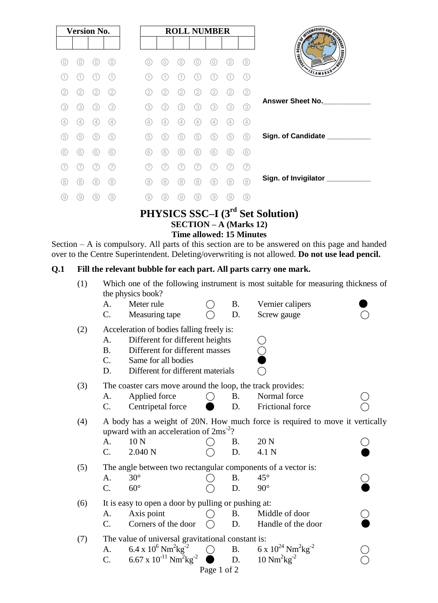| <b>Version No.</b> |                   |     |     |
|--------------------|-------------------|-----|-----|
|                    |                   |     |     |
| O                  |                   |     | 0)  |
|                    |                   |     | (1  |
| (2)                | (2)               | (2) | (2) |
| (3)                | (3)               | (3) | (3) |
| (4)                | $\left( 4\right)$ | (4) | (4) |
| (5)                | 5)                | (5) | (5) |
| (6)                | (6)               | (6) | (6) |
|                    |                   |     |     |
| (8)                | 8                 | 8   | (8) |
| 9                  |                   |     | 9   |

# **PHYSICS SSC–I (3 rd Set Solution) SECTION – A (Marks 12) Time allowed: 15 Minutes**

Section – A is compulsory. All parts of this section are to be answered on this page and handed over to the Centre Superintendent. Deleting/overwriting is not allowed. **Do not use lead pencil.**

# **Q.1 Fill the relevant bubble for each part. All parts carry one mark.**

| Meter rule<br>Vernier calipers<br>A.<br>Β.<br>$\mathcal{C}$ .<br>Measuring tape<br>D.<br>Screw gauge<br>Acceleration of bodies falling freely is:<br>(2)<br>Different for different heights<br>A.<br>Different for different masses<br><b>B.</b><br>C.<br>Same for all bodies<br>Different for different materials<br>D.<br>The coaster cars move around the loop, the track provides:<br>(3)<br>Normal force<br>Applied force<br><b>B.</b><br>$\left(\begin{array}{c} \end{array}\right)$<br>А.<br>$C$ .<br>Frictional force<br>Centripetal force<br>D.<br>(4)<br>upward with an acceleration of 2ms <sup>-2</sup> ?<br>10 <sub>N</sub><br>20 N<br>A.<br><b>B.</b><br>2.040 N<br>C.<br>D.<br>4.1 N<br>The angle between two rectangular components of a vector is:<br>(5)<br>$30^\circ$<br><b>B.</b><br>$45^{\circ}$<br>A.<br>$90^\circ$<br>$C$ .<br>$60^\circ$<br>D.<br>It is easy to open a door by pulling or pushing at:<br>(6)<br>Axis point<br>Middle of door<br><b>B.</b><br>А.<br>Corners of the door<br>C.<br>Handle of the door<br>D.<br>The value of universal gravitational constant is:<br>(7)<br>6 x $10^{24}$ Nm <sup>2</sup> kg <sup>-2</sup><br>6.4 x $10^6$ Nm <sup>2</sup> kg <sup>-2</sup><br><b>B.</b><br>A.<br>6.67 x $10^{-11}$ Nm <sup>2</sup> kg <sup>-2</sup><br>$10 \text{ Nm}^2\text{kg}^{-2}$<br>C.<br>D.<br>Page 1 of 2 | (1) | Which one of the following instrument is most suitable for measuring thickness of<br>the physics book? |  |  |  |  |  |  |  |
|--------------------------------------------------------------------------------------------------------------------------------------------------------------------------------------------------------------------------------------------------------------------------------------------------------------------------------------------------------------------------------------------------------------------------------------------------------------------------------------------------------------------------------------------------------------------------------------------------------------------------------------------------------------------------------------------------------------------------------------------------------------------------------------------------------------------------------------------------------------------------------------------------------------------------------------------------------------------------------------------------------------------------------------------------------------------------------------------------------------------------------------------------------------------------------------------------------------------------------------------------------------------------------------------------------------------------------------------------------|-----|--------------------------------------------------------------------------------------------------------|--|--|--|--|--|--|--|
|                                                                                                                                                                                                                                                                                                                                                                                                                                                                                                                                                                                                                                                                                                                                                                                                                                                                                                                                                                                                                                                                                                                                                                                                                                                                                                                                                        |     |                                                                                                        |  |  |  |  |  |  |  |
|                                                                                                                                                                                                                                                                                                                                                                                                                                                                                                                                                                                                                                                                                                                                                                                                                                                                                                                                                                                                                                                                                                                                                                                                                                                                                                                                                        |     |                                                                                                        |  |  |  |  |  |  |  |
|                                                                                                                                                                                                                                                                                                                                                                                                                                                                                                                                                                                                                                                                                                                                                                                                                                                                                                                                                                                                                                                                                                                                                                                                                                                                                                                                                        |     |                                                                                                        |  |  |  |  |  |  |  |
|                                                                                                                                                                                                                                                                                                                                                                                                                                                                                                                                                                                                                                                                                                                                                                                                                                                                                                                                                                                                                                                                                                                                                                                                                                                                                                                                                        |     |                                                                                                        |  |  |  |  |  |  |  |
|                                                                                                                                                                                                                                                                                                                                                                                                                                                                                                                                                                                                                                                                                                                                                                                                                                                                                                                                                                                                                                                                                                                                                                                                                                                                                                                                                        |     |                                                                                                        |  |  |  |  |  |  |  |
|                                                                                                                                                                                                                                                                                                                                                                                                                                                                                                                                                                                                                                                                                                                                                                                                                                                                                                                                                                                                                                                                                                                                                                                                                                                                                                                                                        |     |                                                                                                        |  |  |  |  |  |  |  |
|                                                                                                                                                                                                                                                                                                                                                                                                                                                                                                                                                                                                                                                                                                                                                                                                                                                                                                                                                                                                                                                                                                                                                                                                                                                                                                                                                        |     |                                                                                                        |  |  |  |  |  |  |  |
|                                                                                                                                                                                                                                                                                                                                                                                                                                                                                                                                                                                                                                                                                                                                                                                                                                                                                                                                                                                                                                                                                                                                                                                                                                                                                                                                                        |     |                                                                                                        |  |  |  |  |  |  |  |
|                                                                                                                                                                                                                                                                                                                                                                                                                                                                                                                                                                                                                                                                                                                                                                                                                                                                                                                                                                                                                                                                                                                                                                                                                                                                                                                                                        |     |                                                                                                        |  |  |  |  |  |  |  |
|                                                                                                                                                                                                                                                                                                                                                                                                                                                                                                                                                                                                                                                                                                                                                                                                                                                                                                                                                                                                                                                                                                                                                                                                                                                                                                                                                        |     |                                                                                                        |  |  |  |  |  |  |  |
|                                                                                                                                                                                                                                                                                                                                                                                                                                                                                                                                                                                                                                                                                                                                                                                                                                                                                                                                                                                                                                                                                                                                                                                                                                                                                                                                                        |     | A body has a weight of 20N. How much force is required to move it vertically                           |  |  |  |  |  |  |  |
|                                                                                                                                                                                                                                                                                                                                                                                                                                                                                                                                                                                                                                                                                                                                                                                                                                                                                                                                                                                                                                                                                                                                                                                                                                                                                                                                                        |     |                                                                                                        |  |  |  |  |  |  |  |
|                                                                                                                                                                                                                                                                                                                                                                                                                                                                                                                                                                                                                                                                                                                                                                                                                                                                                                                                                                                                                                                                                                                                                                                                                                                                                                                                                        |     |                                                                                                        |  |  |  |  |  |  |  |
|                                                                                                                                                                                                                                                                                                                                                                                                                                                                                                                                                                                                                                                                                                                                                                                                                                                                                                                                                                                                                                                                                                                                                                                                                                                                                                                                                        |     |                                                                                                        |  |  |  |  |  |  |  |
|                                                                                                                                                                                                                                                                                                                                                                                                                                                                                                                                                                                                                                                                                                                                                                                                                                                                                                                                                                                                                                                                                                                                                                                                                                                                                                                                                        |     |                                                                                                        |  |  |  |  |  |  |  |
|                                                                                                                                                                                                                                                                                                                                                                                                                                                                                                                                                                                                                                                                                                                                                                                                                                                                                                                                                                                                                                                                                                                                                                                                                                                                                                                                                        |     |                                                                                                        |  |  |  |  |  |  |  |
|                                                                                                                                                                                                                                                                                                                                                                                                                                                                                                                                                                                                                                                                                                                                                                                                                                                                                                                                                                                                                                                                                                                                                                                                                                                                                                                                                        |     |                                                                                                        |  |  |  |  |  |  |  |
|                                                                                                                                                                                                                                                                                                                                                                                                                                                                                                                                                                                                                                                                                                                                                                                                                                                                                                                                                                                                                                                                                                                                                                                                                                                                                                                                                        |     |                                                                                                        |  |  |  |  |  |  |  |
|                                                                                                                                                                                                                                                                                                                                                                                                                                                                                                                                                                                                                                                                                                                                                                                                                                                                                                                                                                                                                                                                                                                                                                                                                                                                                                                                                        |     |                                                                                                        |  |  |  |  |  |  |  |
|                                                                                                                                                                                                                                                                                                                                                                                                                                                                                                                                                                                                                                                                                                                                                                                                                                                                                                                                                                                                                                                                                                                                                                                                                                                                                                                                                        |     |                                                                                                        |  |  |  |  |  |  |  |
|                                                                                                                                                                                                                                                                                                                                                                                                                                                                                                                                                                                                                                                                                                                                                                                                                                                                                                                                                                                                                                                                                                                                                                                                                                                                                                                                                        |     |                                                                                                        |  |  |  |  |  |  |  |
|                                                                                                                                                                                                                                                                                                                                                                                                                                                                                                                                                                                                                                                                                                                                                                                                                                                                                                                                                                                                                                                                                                                                                                                                                                                                                                                                                        |     |                                                                                                        |  |  |  |  |  |  |  |
|                                                                                                                                                                                                                                                                                                                                                                                                                                                                                                                                                                                                                                                                                                                                                                                                                                                                                                                                                                                                                                                                                                                                                                                                                                                                                                                                                        |     |                                                                                                        |  |  |  |  |  |  |  |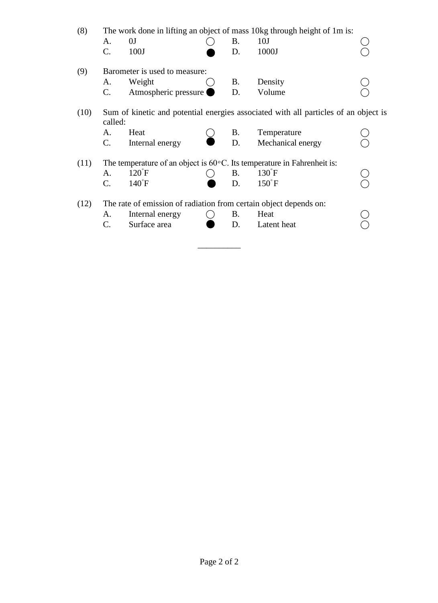| (8)  | The work done in lifting an object of mass 10kg through height of 1m is:                       |                                                                   |  |           |                                                                                   |  |  |  |
|------|------------------------------------------------------------------------------------------------|-------------------------------------------------------------------|--|-----------|-----------------------------------------------------------------------------------|--|--|--|
|      | A.                                                                                             | 0J                                                                |  | <b>B.</b> | 10J                                                                               |  |  |  |
|      | $C_{\cdot}$                                                                                    | 100J                                                              |  | D.        | 1000J                                                                             |  |  |  |
| (9)  |                                                                                                | Barometer is used to measure:                                     |  |           |                                                                                   |  |  |  |
|      | А.                                                                                             | Weight                                                            |  | B.        | Density                                                                           |  |  |  |
|      | $C_{\cdot}$                                                                                    | Atmospheric pressure                                              |  | D.        | Volume                                                                            |  |  |  |
| (10) | Sum of kinetic and potential energies associated with all particles of an object is<br>called: |                                                                   |  |           |                                                                                   |  |  |  |
|      | A.                                                                                             | Heat                                                              |  | B.        | Temperature                                                                       |  |  |  |
|      | $C_{\cdot}$                                                                                    | Internal energy                                                   |  | D.        | Mechanical energy                                                                 |  |  |  |
| (11) |                                                                                                |                                                                   |  |           | The temperature of an object is $60^{\circ}$ C. Its temperature in Fahrenheit is: |  |  |  |
|      | A.                                                                                             | $120^{\circ}$ F                                                   |  | <b>B.</b> | $130^{\circ}$ F                                                                   |  |  |  |
|      | $C_{\cdot}$                                                                                    | $140^{\circ}$ F                                                   |  | D.        | $150^{\circ}$ F                                                                   |  |  |  |
| (12) |                                                                                                | The rate of emission of radiation from certain object depends on: |  |           |                                                                                   |  |  |  |
|      | А.                                                                                             | Internal energy                                                   |  | B.        | Heat                                                                              |  |  |  |
|      | C.                                                                                             | Surface area                                                      |  | D.        | Latent heat                                                                       |  |  |  |

\_\_\_\_\_\_\_\_\_\_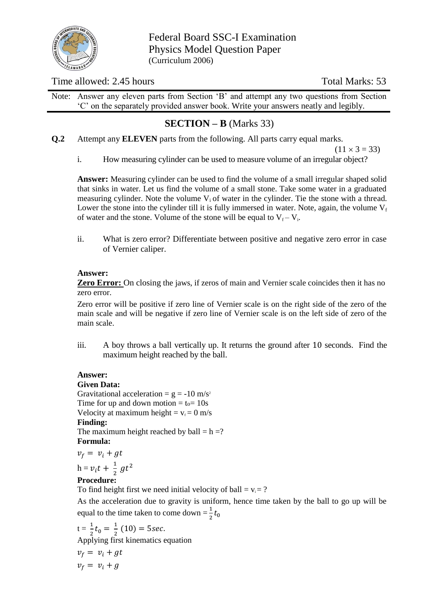

Federal Board SSC-I Examination Physics Model Question Paper (Curriculum 2006)

## Time allowed: 2.45 hours Total Marks: 53

Note: Answer any eleven parts from Section 'B' and attempt any two questions from Section 'C' on the separately provided answer book. Write your answers neatly and legibly.

# **SECTION – B** (Marks 33)

**Q.2** Attempt any **ELEVEN** parts from the following. All parts carry equal marks.

 $(11 \times 3 = 33)$ 

i. How measuring cylinder can be used to measure volume of an irregular object?

**Answer:** Measuring cylinder can be used to find the volume of a small irregular shaped solid that sinks in water. Let us find the volume of a small stone. Take some water in a graduated measuring cylinder. Note the volume  $V_i$  of water in the cylinder. Tie the stone with a thread. Lower the stone into the cylinder till it is fully immersed in water. Note, again, the volume  $V_f$ of water and the stone. Volume of the stone will be equal to  $V_f - V_i$ .

ii. What is zero error? Differentiate between positive and negative zero error in case of Vernier caliper.

## **Answer:**

**Zero Error:** On closing the jaws, if zeros of main and Vernier scale coincides then it has no zero error.

Zero error will be positive if zero line of Vernier scale is on the right side of the zero of the main scale and will be negative if zero line of Vernier scale is on the left side of zero of the main scale.

iii. A boy throws a ball vertically up. It returns the ground after  $10$  seconds. Find the maximum height reached by the ball.

# **Answer:**

## **Given Data:**

Gravitational acceleration =  $g = -10$  m/s<sup>2</sup> Time for up and down motion  $= t_0 = 10s$ Velocity at maximum height =  $v_f = 0$  m/s **Finding:**  The maximum height reached by ball  $= h = ?$ **Formula:** 

 $v_f = v_i + gt$ 

$$
h = v_i t + \frac{1}{2}gt^2
$$

# **Procedure:**

To find height first we need initial velocity of ball =  $v_i = ?$ 

As the acceleration due to gravity is uniform, hence time taken by the ball to go up will be equal to the time taken to come down  $=\frac{1}{2}t$ 

$$
t = \frac{1}{2}t_0 = \frac{1}{2}(10) = 5\sec.
$$
  
Applying first kinematics equation  

$$
v_f = v_i + gt
$$

 $v_f = v_i + g$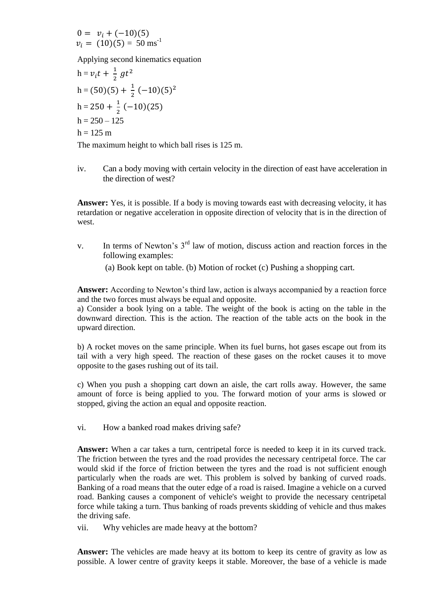$0 = v_i + (-10)(5)$  $v_i = (10)(5) = 50$  ms<sup>-1</sup>

Applying second kinematics equation

$$
h = v_i t + \frac{1}{2}gt^2
$$
  
\n
$$
h = (50)(5) + \frac{1}{2}(-10)(5)^2
$$
  
\n
$$
h = 250 + \frac{1}{2}(-10)(25)
$$
  
\n
$$
h = 250 - 125
$$
  
\n
$$
h = 125 \text{ m}
$$

The maximum height to which ball rises is 125 m.

iv. Can a body moving with certain velocity in the direction of east have acceleration in the direction of west?

**Answer:** Yes, it is possible. If a body is moving towards east with decreasing velocity, it has retardation or negative acceleration in opposite direction of velocity that is in the direction of west.

v. In terms of Newton's  $3<sup>rd</sup>$  law of motion, discuss action and reaction forces in the following examples:

(a) Book kept on table. (b) Motion of rocket (c) Pushing a shopping cart.

Answer: According to Newton's third law, action is always accompanied by a reaction force and the two forces must always be equal and opposite.

a) Consider a book lying on a table. The weight of the book is acting on the table in the downward direction. This is the action. The reaction of the table acts on the book in the upward direction.

b) A rocket moves on the same principle. When its fuel burns, hot gases escape out from its tail with a very high speed. The reaction of these gases on the rocket causes it to move opposite to the gases rushing out of its tail.

c) When you push a shopping cart down an aisle, the cart rolls away. However, the same amount of force is being applied to you. The forward motion of your arms is slowed or stopped, giving the action an equal and opposite reaction.

vi. How a banked road makes driving safe?

**Answer:** When a car takes a turn, centripetal force is needed to keep it in its curved track. The friction between the tyres and the road provides the necessary centripetal force. The car would skid if the force of friction between the tyres and the road is not sufficient enough particularly when the roads are wet. This problem is solved by banking of curved roads. Banking of a road means that the outer edge of a road is raised. Imagine a vehicle on a curved road. Banking causes a component of vehicle's weight to provide the necessary centripetal force while taking a turn. Thus banking of roads prevents skidding of vehicle and thus makes the driving safe.

vii. Why vehicles are made heavy at the bottom?

**Answer:** The vehicles are made heavy at its bottom to keep its centre of gravity as low as possible. A lower centre of gravity keeps it stable. Moreover, the base of a vehicle is made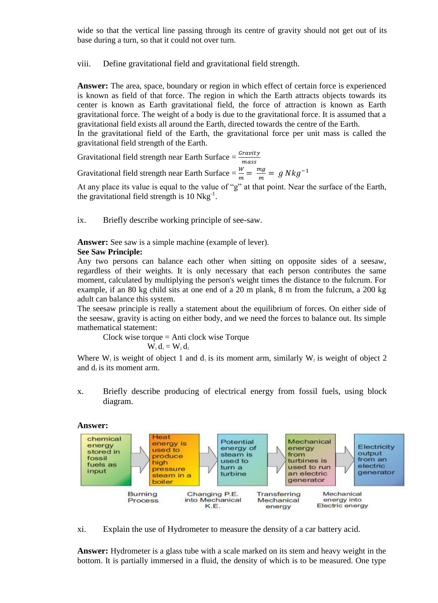wide so that the vertical line passing through its centre of gravity should not get out of its base during a turn, so that it could not over turn.

viii. Define gravitational field and gravitational field strength.

**Answer:** The area, space, boundary or region in which effect of certain force is experienced is known as field of that force. The region in which the Earth attracts objects towards its center is known as Earth gravitational field, the force of attraction is known as Earth gravitational force. The weight of a body is due to the gravitational force. It is assumed that a gravitational field exists all around the Earth, directed towards the centre of the Earth. In the gravitational field of the Earth, the gravitational force per unit mass is called the gravitational field strength of the Earth.

Gravitational field strength near Earth Surface  $=\frac{Gr}{m}$ 

Gravitational field strength near Earth Surface  $=\frac{W}{m}=\frac{m}{n}$  $\frac{ny}{m} =$ 

At any place its value is equal to the value of "g" at that point. Near the surface of the Earth, the gravitational field strength is  $10 \text{ Nkg}^{-1}$ .

ix. Briefly describe working principle of see-saw.

**Answer:** See saw is a simple machine (example of lever).

## **See Saw Principle:**

Any two persons can balance each other when sitting on opposite sides of a seesaw, regardless of their weights. It is only necessary that each person contributes the same moment, calculated by multiplying the person's weight times the distance to the fulcrum. For example, if an 80 kg child sits at one end of a 20 m plank, 8 m from the fulcrum, a 200 kg adult can balance this system.

The seesaw principle is really a statement about the equilibrium of forces. On either side of the seesaw, gravity is acting on either body, and we need the forces to balance out. Its simple mathematical statement:

Clock wise torque = Anti clock wise Torque  $W_1 d_1 = W_2 d_2$ 

Where W<sub>1</sub> is weight of object 1 and  $d_1$  is its moment arm, similarly W<sub>2</sub> is weight of object 2 and  $d_2$  is its moment arm.

x. Briefly describe producing of electrical energy from fossil fuels, using block diagram.



xi. Explain the use of Hydrometer to measure the density of a car battery acid.

**Answer:** Hydrometer is a glass tube with a scale marked on its stem and heavy weight in the bottom. It is partially immersed in a fluid, the density of which is to be measured. One type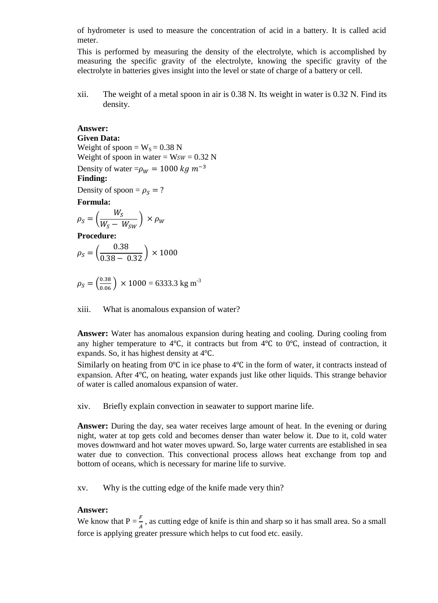of hydrometer is used to measure the concentration of acid in a battery. It is called acid meter.

This is performed by measuring the density of the electrolyte, which is accomplished by measuring the specific gravity of the electrolyte, knowing the specific gravity of the electrolyte in batteries gives insight into the level or state of charge of a battery or cell.

xii. The weight of a metal spoon in air is 0.38 N. Its weight in water is 0.32 N. Find its density.

## **Answer:**

**Given Data:**  Weight of spoon =  $W_s = 0.38$  N Weight of spoon in water =  $Wsw = 0.32$  N Density of water =  $\rho_W$  = 1000 kg m<sup>-3</sup> **Finding:**  Density of spoon =  $\rho_s$  = ? **Formula:**  $\rho_S = ($  $W_{\mathcal{C}}$  $\frac{1}{W_S-W_{SW}}$   $\times$ **Procedure:**  $\rho_S =$  (  $\boldsymbol{0}$  $\frac{1}{0.38 - 0.32}$   $\times$ 

$$
\rho_S = \left(\frac{0.38}{0.06}\right) \times 1000 = 6333.3 \text{ kg m}^3
$$

xiii. What is anomalous expansion of water?

**Answer:** Water has anomalous expansion during heating and cooling. During cooling from any higher temperature to 4 $\textdegree$ C, it contracts but from 4 $\textdegree$ C to 0 $\textdegree$ C, instead of contraction, it expands. So, it has highest density at  $4^{\circ}C$ .

Similarly on heating from  $0^{\circ}$ C in ice phase to 4 $^{\circ}$ C in the form of water, it contracts instead of expansion. After  $4^{\circ}$ C, on heating, water expands just like other liquids. This strange behavior of water is called anomalous expansion of water.

xiv. Briefly explain convection in seawater to support marine life.

**Answer:** During the day, sea water receives large amount of heat. In the evening or during night, water at top gets cold and becomes denser than water below it. Due to it, cold water moves downward and hot water moves upward. So, large water currents are established in sea water due to convection. This convectional process allows heat exchange from top and bottom of oceans, which is necessary for marine life to survive.

xv. Why is the cutting edge of the knife made very thin?

## **Answer:**

We know that  $P = \frac{F}{A}$ , as cutting edge of knife is thin and sharp so it has small area. So a small force is applying greater pressure which helps to cut food etc. easily.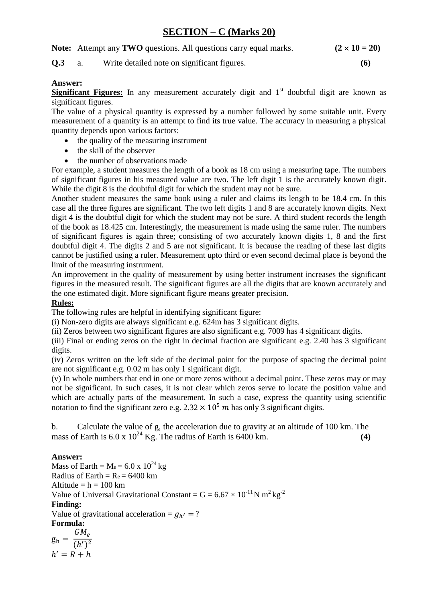# **SECTION – C (Marks 20)**

**Note:** Attempt any **TWO** questions. All questions carry equal marks.  $(2 \times 10 = 20)$ 

## **Q.3** a. Write detailed note on significant figures. **(6)**

## **Answer:**

**Significant Figures:** In any measurement accurately digit and 1<sup>st</sup> doubtful digit are known as significant figures.

The value of a physical quantity is expressed by a number followed by some suitable unit. Every measurement of a quantity is an attempt to find its true value. The accuracy in measuring a physical quantity depends upon various factors:

- the quality of the measuring instrument
- the skill of the observer
- the number of observations made

For example, a student measures the length of a book as 18 cm using a measuring tape. The numbers of significant figures in his measured value are two. The left digit 1 is the accurately known digit. While the digit 8 is the doubtful digit for which the student may not be sure.

Another student measures the same book using a ruler and claims its length to be 18.4 cm. In this case all the three figures are significant. The two left digits 1 and 8 are accurately known digits. Next digit 4 is the doubtful digit for which the student may not be sure. A third student records the length of the book as 18.425 cm. Interestingly, the measurement is made using the same ruler. The numbers of significant figures is again three; consisting of two accurately known digits 1, 8 and the first doubtful digit 4. The digits 2 and 5 are not significant. It is because the reading of these last digits cannot be justified using a ruler. Measurement upto third or even second decimal place is beyond the limit of the measuring instrument.

An improvement in the quality of measurement by using better instrument increases the significant figures in the measured result. The significant figures are all the digits that are known accurately and the one estimated digit. More significant figure means greater precision.

## **Rules:**

The following rules are helpful in identifying significant figure:

(i) Non-zero digits are always significant e.g. 624m has 3 significant digits.

(ii) Zeros between two significant figures are also significant e.g. 7009 has 4 significant digits.

(iii) Final or ending zeros on the right in decimal fraction are significant e.g. 2.40 has 3 significant digits.

(iv) Zeros written on the left side of the decimal point for the purpose of spacing the decimal point are not significant e.g. 0.02 m has only 1 significant digit.

(v) In whole numbers that end in one or more zeros without a decimal point. These zeros may or may not be significant. In such cases, it is not clear which zeros serve to locate the position value and which are actually parts of the measurement. In such a case, express the quantity using scientific notation to find the significant zero e.g.  $2.32 \times 10^5$  m has only 3 significant digits.

b. Calculate the value of g, the acceleration due to gravity at an altitude of 100 km. The mass of Earth is  $6.0 \times 10^{24}$  Kg. The radius of Earth is  $6400$  km.  $(4)$ 

## **Answer:**

Mass of Earth =  $Me = 6.0 \times 10^{24}$  kg Radius of Earth =  $Re = 6400$  km Altitude  $= h = 100$  km Value of Universal Gravitational Constant =  $G = 6.67 \times 10^{-11} N m^2 kg^{-2}$ **Finding:**  Value of gravitational acceleration =  $g_{h'}$ **Formula:**

$$
g_h = \frac{GM_e}{(h')^2}
$$

$$
h' = R + h
$$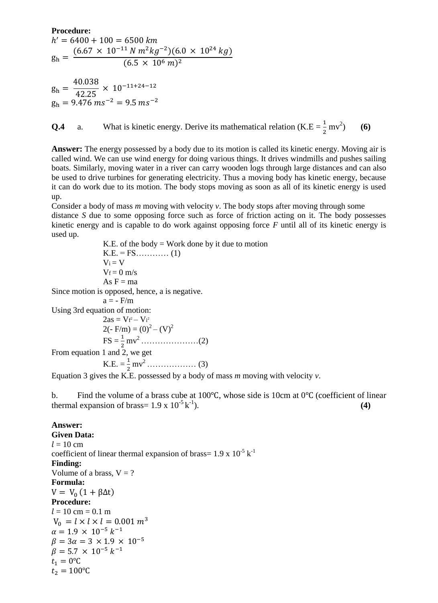**Procedure:**

$$
h' = 6400 + 100 = 6500 \text{ km}
$$
  
\n
$$
g_h = \frac{(6.67 \times 10^{-11} \text{ N} \text{ m}^2 \text{kg}^{-2})(6.0 \times 10^{24} \text{ kg})}{(6.5 \times 10^6 \text{ m})^2}
$$

g  $\overline{4}$  $\overline{4}$  $g_h = 9.476 \text{ ms}^{-2} = 9.5 \text{ ms}^{-1}$ 

**Q.4** a. What is kinetic energy. Derive its mathematical relation  $(K.E = \frac{1}{2}mv^2)$ ) **(6)**

**Answer:** The energy possessed by a body due to its motion is called its kinetic energy. Moving air is called wind. We can use wind energy for doing various things. It drives windmills and pushes sailing boats. Similarly, moving water in a river can carry wooden logs through large distances and can also be used to drive turbines for generating electricity. Thus a moving body has kinetic energy, because it can do work due to its motion. The body stops moving as soon as all of its kinetic energy is used up.

Consider a body of mass *m* moving with velocity *v*. The body stops after moving through some distance *S* due to some opposing force such as force of friction acting on it. The body possesses kinetic energy and is capable to do work against opposing force *F* until all of its kinetic energy is used up.

K.E. of the body  $=$  Work done by it due to motion K.E. = FS………… (1)  $V_i = V$  $V_f = 0$  m/s As  $F = ma$ Since motion is opposed, hence, a is negative.  $a = - \frac{F}{m}$ Using 3rd equation of motion:  $2as = Vf^2 - Vi^2$ 2(- F/m) =  $(0)^2 - (V)^2$ FS = mv<sup>2</sup> …………………(2) From equation 1 and 2, we get  $K.E. = \frac{1}{2}$ mv<sup>2</sup> ……………… (3)

Equation 3 gives the K.E. possessed by a body of mass *m* moving with velocity *v*.

b. Find the volume of a brass cube at 100 $\degree$ C, whose side is 10cm at 0 $\degree$ C (coefficient of linear thermal expansion of brass=  $1.9 \times 10^{-5}$  k<sup>-1</sup> ). **(4)**

#### **Answer:**

**Given Data:**   $l = 10$  cm coefficient of linear thermal expansion of brass=  $1.9 \times 10^{-5}$  k<sup>-1</sup> **Finding:**  Volume of a brass,  $V = ?$ **Formula:**  $V = V_0 (1 + \beta \Delta t)$ **Procedure:**  $l = 10$  cm = 0.1 m  $V_0 = l \times l \times l = 0.001 \ m^3$  $\alpha = 1.9 \times 10^{-5} k^{-1}$  $\beta = 3\alpha = 3 \times 1.9 \times 10^{-5}$  $\beta = 5.7 \times 10^{-5} k^{-1}$  $t_1 = 0$ °C  $t_2 = 100$ °C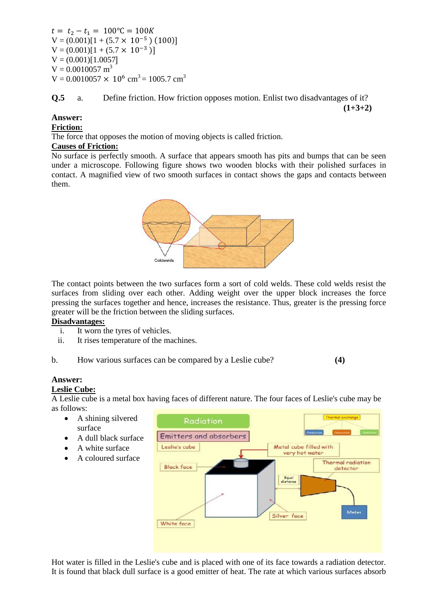$t = t_2 - t_1 = 100$ °C = 100K  $V = (0.001)[1 + (5.7 \times 10^{-5}) (100)]$  $V = (0.001)[1 + (5.7 \times 10^{-3})]$  $V = (0.001)[1.0057]$  $V = 0.0010057$  m<sup>3</sup>  $V = 0.0010057 \times 10^6$  cm<sup>3</sup> = 1005.7 cm<sup>3</sup>

**Q.5** a. Define friction. How friction opposes motion. Enlist two disadvantages of it? **(1+3+2)**

#### **Answer:**

**Friction:**

The force that opposes the motion of moving objects is called friction.

#### **Causes of Friction:**

No surface is perfectly smooth. A surface that appears smooth has pits and bumps that can be seen under a microscope. Following figure shows two wooden blocks with their polished surfaces in contact. A magnified view of two smooth surfaces in contact shows the gaps and contacts between them.



The contact points between the two surfaces form a sort of cold welds. These cold welds resist the surfaces from sliding over each other. Adding weight over the upper block increases the force pressing the surfaces together and hence, increases the resistance. Thus, greater is the pressing force greater will be the friction between the sliding surfaces.

#### **Disadvantages:**

- i. It worn the tyres of vehicles.
- ii. It rises temperature of the machines.
- b. How various surfaces can be compared by a Leslie cube? **(4)**

## **Answer:**

#### **Leslie Cube:**

A Leslie cube is a metal box having faces of different nature. The four faces of Leslie's cube may be as follows:

- A shining silvered surface
- A dull black surface
- A white surface
- A coloured surface



Hot water is filled in the Leslie's cube and is placed with one of its face towards a radiation detector. It is found that black dull surface is a good emitter of heat. The rate at which various surfaces absorb